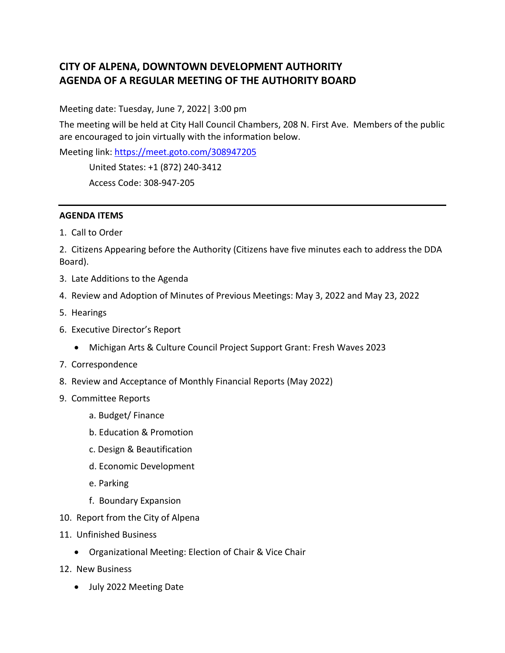## **CITY OF ALPENA, DOWNTOWN DEVELOPMENT AUTHORITY AGENDA OF A REGULAR MEETING OF THE AUTHORITY BOARD**

Meeting date: Tuesday, June 7, 2022| 3:00 pm

The meeting will be held at City Hall Council Chambers, 208 N. First Ave. Members of the public are encouraged to join virtually with the information below.

Meeting link:<https://meet.goto.com/308947205>

United States: +1 (872) 240-3412

Access Code: 308-947-205

## **AGENDA ITEMS**

1. Call to Order

2. Citizens Appearing before the Authority (Citizens have five minutes each to address the DDA Board).

- 3. Late Additions to the Agenda
- 4. Review and Adoption of Minutes of Previous Meetings: May 3, 2022 and May 23, 2022
- 5. Hearings
- 6. Executive Director's Report
	- Michigan Arts & Culture Council Project Support Grant: Fresh Waves 2023
- 7. Correspondence
- 8. Review and Acceptance of Monthly Financial Reports (May 2022)
- 9. Committee Reports
	- a. Budget/ Finance
	- b. Education & Promotion
	- c. Design & Beautification
	- d. Economic Development
	- e. Parking
	- f. Boundary Expansion
- 10. Report from the City of Alpena
- 11. Unfinished Business
	- Organizational Meeting: Election of Chair & Vice Chair
- 12. New Business
	- July 2022 Meeting Date